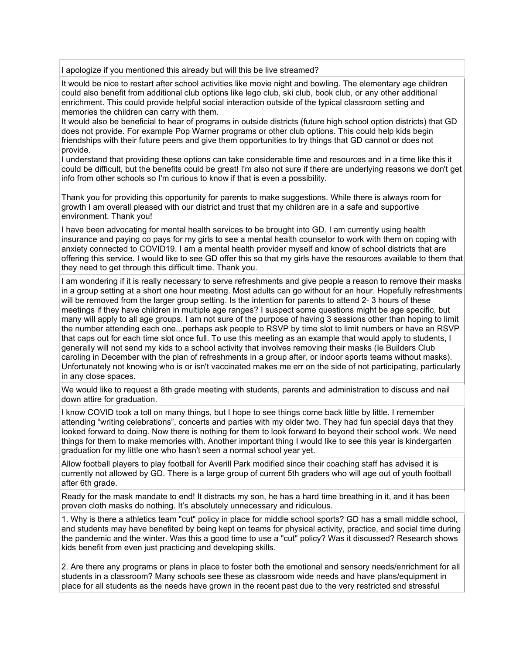I apologize if you mentioned this already but will this be live streamed?

It would be nice to restart after school activities like movie night and bowling. The elementary age children could also benefit from additional club options like lego club, ski club, book club, or any other additional enrichment. This could provide helpful social interaction outside of the typical classroom setting and memories the children can carry with them.

It would also be beneficial to hear of programs in outside districts (future high school option districts) that GD does not provide. For example Pop Warner programs or other club options. This could help kids begin friendships with their future peers and give them opportunities to try things that GD cannot or does not provide.

I understand that providing these options can take considerable time and resources and in a time like this it could be difficult, but the benefits could be great! I'm also not sure if there are underlying reasons we don't get info from other schools so I'm curious to know if that is even a possibility.

Thank you for providing this opportunity for parents to make suggestions. While there is always room for growth I am overall pleased with our district and trust that my children are in a safe and supportive environment. Thank you!

I have been advocating for mental health services to be brought into GD. I am currently using health insurance and paying co pays for my girls to see a mental health counselor to work with them on coping with anxiety connected to COVID19. I am a mental health provider myself and know of school districts that are offering this service. I would like to see GD offer this so that my girls have the resources available to them that they need to get through this difficult time. Thank you.

I am wondering if it is really necessary to serve refreshments and give people a reason to remove their masks in a group setting at a short one hour meeting. Most adults can go without for an hour. Hopefully refreshments will be removed from the larger group setting. Is the intention for parents to attend 2- 3 hours of these meetings if they have children in multiple age ranges? I suspect some questions might be age specific, but many will apply to all age groups. I am not sure of the purpose of having 3 sessions other than hoping to limit the number attending each one...perhaps ask people to RSVP by time slot to limit numbers or have an RSVP that caps out for each time slot once full. To use this meeting as an example that would apply to students, I generally will not send my kids to a school activity that involves removing their masks (Ie Builders Club caroling in December with the plan of refreshments in a group after, or indoor sports teams without masks). Unfortunately not knowing who is or isn't vaccinated makes me err on the side of not participating, particularly in any close spaces.

We would like to request a 8th grade meeting with students, parents and administration to discuss and nail down attire for graduation.

I know COVID took a toll on many things, but I hope to see things come back little by little. I remember attending "writing celebrations", concerts and parties with my older two. They had fun special days that they looked forward to doing. Now there is nothing for them to look forward to beyond their school work. We need things for them to make memories with. Another important thing I would like to see this year is kindergarten graduation for my little one who hasn't seen a normal school year yet.

Allow football players to play football for Averill Park modified since their coaching staff has advised it is currently not allowed by GD. There is a large group of current 5th graders who will age out of youth football after 6th grade.

Ready for the mask mandate to end! It distracts my son, he has a hard time breathing in it, and it has been proven cloth masks do nothing. It's absolutely unnecessary and ridiculous.

1. Why is there a athletics team "cut" policy in place for middle school sports? GD has a small middle school, and students may have benefited by being kept on teams for physical activity, practice, and social time during the pandemic and the winter. Was this a good time to use a "cut" policy? Was it discussed? Research shows kids benefit from even just practicing and developing skills.

2. Are there any programs or plans in place to foster both the emotional and sensory needs/enrichment for all students in a classroom? Many schools see these as classroom wide needs and have plans/equipment in place for all students as the needs have grown in the recent past due to the very restricted snd stressful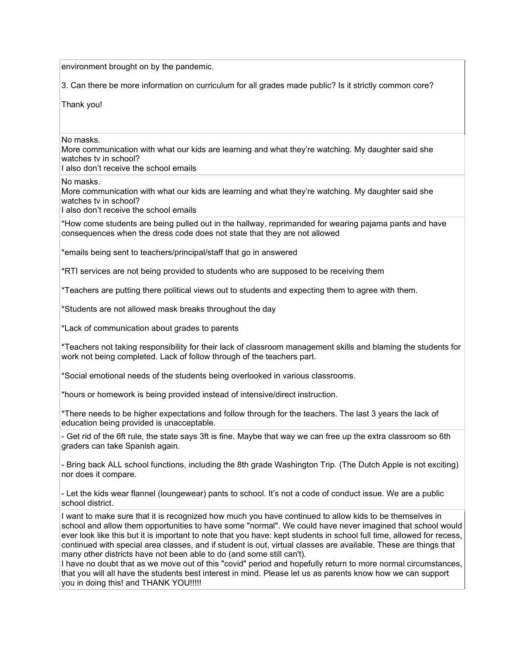environment brought on by the pandemic.

3. Can there be more information on curriculum for all grades made public? Is it strictly common core?

Thank you!

No masks.

More communication with what our kids are learning and what they're watching. My daughter said she watches tv in school?

I also don't receive the school emails

## No masks.

More communication with what our kids are learning and what they're watching. My daughter said she watches tv in school?

I also don't receive the school emails

\*How come students are being pulled out in the hallway, reprimanded for wearing pajama pants and have consequences when the dress code does not state that they are not allowed

\*emails being sent to teachers/principal/staff that go in answered

\*RTI services are not being provided to students who are supposed to be receiving them

\*Teachers are putting there political views out to students and expecting them to agree with them.

\*Students are not allowed mask breaks throughout the day

\*Lack of communication about grades to parents

\*Teachers not taking responsibility for their lack of classroom management skills and blaming the students for work not being completed. Lack of follow through of the teachers part.

\*Social emotional needs of the students being overlooked in various classrooms.

\*hours or homework is being provided instead of intensive/direct instruction.

\*There needs to be higher expectations and follow through for the teachers. The last 3 years the lack of education being provided is unacceptable.

- Get rid of the 6ft rule, the state says 3ft is fine. Maybe that way we can free up the extra classroom so 6th graders can take Spanish again.

- Bring back ALL school functions, including the 8th grade Washington Trip. (The Dutch Apple is not exciting) nor does it compare.

- Let the kids wear flannel (loungewear) pants to school. It's not a code of conduct issue. We are a public school district.

I want to make sure that it is recognized how much you have continued to allow kids to be themselves in school and allow them opportunities to have some "normal". We could have never imagined that school would ever look like this but it is important to note that you have: kept students in school full time, allowed for recess, continued with special area classes, and if student is out, virtual classes are available. These are things that many other districts have not been able to do (and some still can't).

I have no doubt that as we move out of this "covid" period and hopefully return to more normal circumstances, that you will all have the students best interest in mind. Please let us as parents know how we can support you in doing this! and THANK YOU!!!!!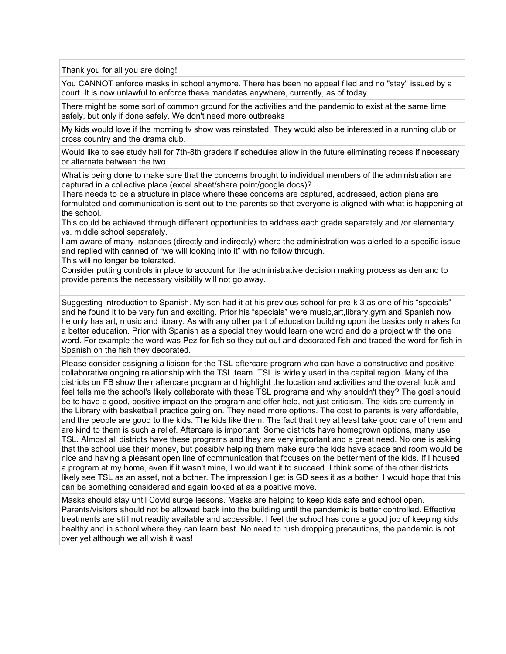Thank you for all you are doing!

You CANNOT enforce masks in school anymore. There has been no appeal filed and no "stay" issued by a court. It is now unlawful to enforce these mandates anywhere, currently, as of today.

There might be some sort of common ground for the activities and the pandemic to exist at the same time safely, but only if done safely. We don't need more outbreaks

My kids would love if the morning tv show was reinstated. They would also be interested in a running club or cross country and the drama club.

Would like to see study hall for 7th-8th graders if schedules allow in the future eliminating recess if necessary or alternate between the two.

What is being done to make sure that the concerns brought to individual members of the administration are captured in a collective place (excel sheet/share point/google docs)?

There needs to be a structure in place where these concerns are captured, addressed, action plans are formulated and communication is sent out to the parents so that everyone is aligned with what is happening at the school.

This could be achieved through different opportunities to address each grade separately and /or elementary vs. middle school separately.

I am aware of many instances (directly and indirectly) where the administration was alerted to a specific issue and replied with canned of "we will looking into it" with no follow through.

This will no longer be tolerated.

Consider putting controls in place to account for the administrative decision making process as demand to provide parents the necessary visibility will not go away.

Suggesting introduction to Spanish. My son had it at his previous school for pre-k 3 as one of his "specials" and he found it to be very fun and exciting. Prior his "specials" were music,art,library,gym and Spanish now he only has art, music and library. As with any other part of education building upon the basics only makes for a better education. Prior with Spanish as a special they would learn one word and do a project with the one word. For example the word was Pez for fish so they cut out and decorated fish and traced the word for fish in Spanish on the fish they decorated.

Please consider assigning a liaison for the TSL aftercare program who can have a constructive and positive, collaborative ongoing relationship with the TSL team. TSL is widely used in the capital region. Many of the districts on FB show their aftercare program and highlight the location and activities and the overall look and feel tells me the school's likely collaborate with these TSL programs and why shouldn't they? The goal should be to have a good, positive impact on the program and offer help, not just criticism. The kids are currently in the Library with basketball practice going on. They need more options. The cost to parents is very affordable, and the people are good to the kids. The kids like them. The fact that they at least take good care of them and are kind to them is such a relief. Aftercare is important. Some districts have homegrown options, many use TSL. Almost all districts have these programs and they are very important and a great need. No one is asking that the school use their money, but possibly helping them make sure the kids have space and room would be nice and having a pleasant open line of communication that focuses on the betterment of the kids. If I housed a program at my home, even if it wasn't mine, I would want it to succeed. I think some of the other districts likely see TSL as an asset, not a bother. The impression I get is GD sees it as a bother. I would hope that this can be something considered and again looked at as a positive move.

Masks should stay until Covid surge lessons. Masks are helping to keep kids safe and school open. Parents/visitors should not be allowed back into the building until the pandemic is better controlled. Effective treatments are still not readily available and accessible. I feel the school has done a good job of keeping kids healthy and in school where they can learn best. No need to rush dropping precautions, the pandemic is not over yet although we all wish it was!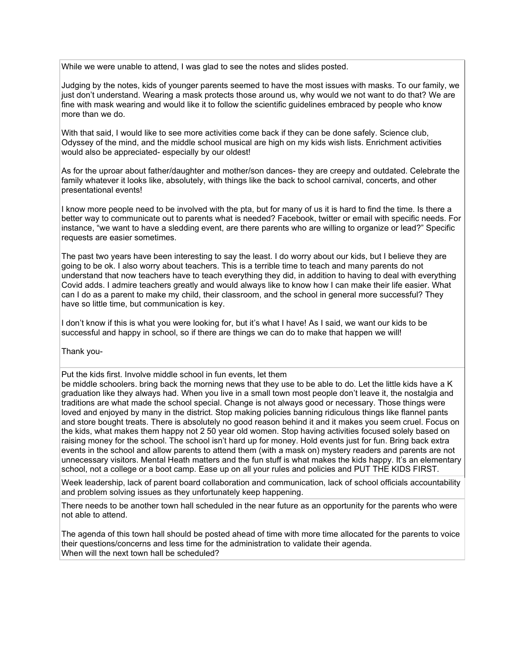While we were unable to attend, I was glad to see the notes and slides posted.

Judging by the notes, kids of younger parents seemed to have the most issues with masks. To our family, we just don't understand. Wearing a mask protects those around us, why would we not want to do that? We are fine with mask wearing and would like it to follow the scientific guidelines embraced by people who know more than we do.

With that said, I would like to see more activities come back if they can be done safely. Science club, Odyssey of the mind, and the middle school musical are high on my kids wish lists. Enrichment activities would also be appreciated- especially by our oldest!

As for the uproar about father/daughter and mother/son dances- they are creepy and outdated. Celebrate the family whatever it looks like, absolutely, with things like the back to school carnival, concerts, and other presentational events!

I know more people need to be involved with the pta, but for many of us it is hard to find the time. Is there a better way to communicate out to parents what is needed? Facebook, twitter or email with specific needs. For instance, "we want to have a sledding event, are there parents who are willing to organize or lead?" Specific requests are easier sometimes.

The past two years have been interesting to say the least. I do worry about our kids, but I believe they are going to be ok. I also worry about teachers. This is a terrible time to teach and many parents do not understand that now teachers have to teach everything they did, in addition to having to deal with everything Covid adds. I admire teachers greatly and would always like to know how I can make their life easier. What can I do as a parent to make my child, their classroom, and the school in general more successful? They have so little time, but communication is key.

I don't know if this is what you were looking for, but it's what I have! As I said, we want our kids to be successful and happy in school, so if there are things we can do to make that happen we will!

Thank you-

Put the kids first. Involve middle school in fun events, let them

be middle schoolers. bring back the morning news that they use to be able to do. Let the little kids have a K graduation like they always had. When you live in a small town most people don't leave it, the nostalgia and traditions are what made the school special. Change is not always good or necessary. Those things were loved and enjoyed by many in the district. Stop making policies banning ridiculous things like flannel pants and store bought treats. There is absolutely no good reason behind it and it makes you seem cruel. Focus on the kids, what makes them happy not 2 50 year old women. Stop having activities focused solely based on raising money for the school. The school isn't hard up for money. Hold events just for fun. Bring back extra events in the school and allow parents to attend them (with a mask on) mystery readers and parents are not unnecessary visitors. Mental Heath matters and the fun stuff is what makes the kids happy. It's an elementary school, not a college or a boot camp. Ease up on all your rules and policies and PUT THE KIDS FIRST.

Week leadership, lack of parent board collaboration and communication, lack of school officials accountability and problem solving issues as they unfortunately keep happening.

There needs to be another town hall scheduled in the near future as an opportunity for the parents who were not able to attend.

The agenda of this town hall should be posted ahead of time with more time allocated for the parents to voice their questions/concerns and less time for the administration to validate their agenda. When will the next town hall be scheduled?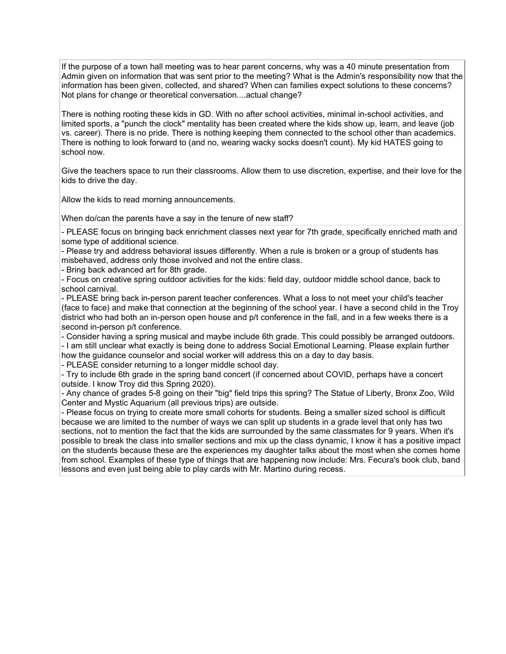If the purpose of a town hall meeting was to hear parent concerns, why was a 40 minute presentation from Admin given on information that was sent prior to the meeting? What is the Admin's responsibility now that the information has been given, collected, and shared? When can families expect solutions to these concerns? Not plans for change or theoretical conversation....actual change?

There is nothing rooting these kids in GD. With no after school activities, minimal in-school activities, and limited sports, a "punch the clock" mentality has been created where the kids show up, learn, and leave (job vs. career). There is no pride. There is nothing keeping them connected to the school other than academics. There is nothing to look forward to (and no, wearing wacky socks doesn't count). My kid HATES going to school now.

Give the teachers space to run their classrooms. Allow them to use discretion, expertise, and their love for the kids to drive the day.

Allow the kids to read morning announcements.

When do/can the parents have a say in the tenure of new staff?

- PLEASE focus on bringing back enrichment classes next year for 7th grade, specifically enriched math and some type of additional science.

- Please try and address behavioral issues differently. When a rule is broken or a group of students has misbehaved, address only those involved and not the entire class.

- Bring back advanced art for 8th grade.

- Focus on creative spring outdoor activities for the kids: field day, outdoor middle school dance, back to school carnival.

- PLEASE bring back in-person parent teacher conferences. What a loss to not meet your child's teacher (face to face) and make that connection at the beginning of the school year. I have a second child in the Troy district who had both an in-person open house and p/t conference in the fall, and in a few weeks there is a second in-person p/t conference.

- Consider having a spring musical and maybe include 6th grade. This could possibly be arranged outdoors. - I am still unclear what exactly is being done to address Social Emotional Learning. Please explain further how the guidance counselor and social worker will address this on a day to day basis.

- PLEASE consider returning to a longer middle school day.

- Try to include 6th grade in the spring band concert (if concerned about COVID, perhaps have a concert outside. I know Troy did this Spring 2020).

- Any chance of grades 5-8 going on their "big" field trips this spring? The Statue of Liberty, Bronx Zoo, Wild Center and Mystic Aquarium (all previous trips) are outside.

- Please focus on trying to create more small cohorts for students. Being a smaller sized school is difficult because we are limited to the number of ways we can split up students in a grade level that only has two sections, not to mention the fact that the kids are surrounded by the same classmates for 9 years. When it's possible to break the class into smaller sections and mix up the class dynamic, I know it has a positive impact on the students because these are the experiences my daughter talks about the most when she comes home from school. Examples of these type of things that are happening now include: Mrs. Fecura's book club, band lessons and even just being able to play cards with Mr. Martino during recess.